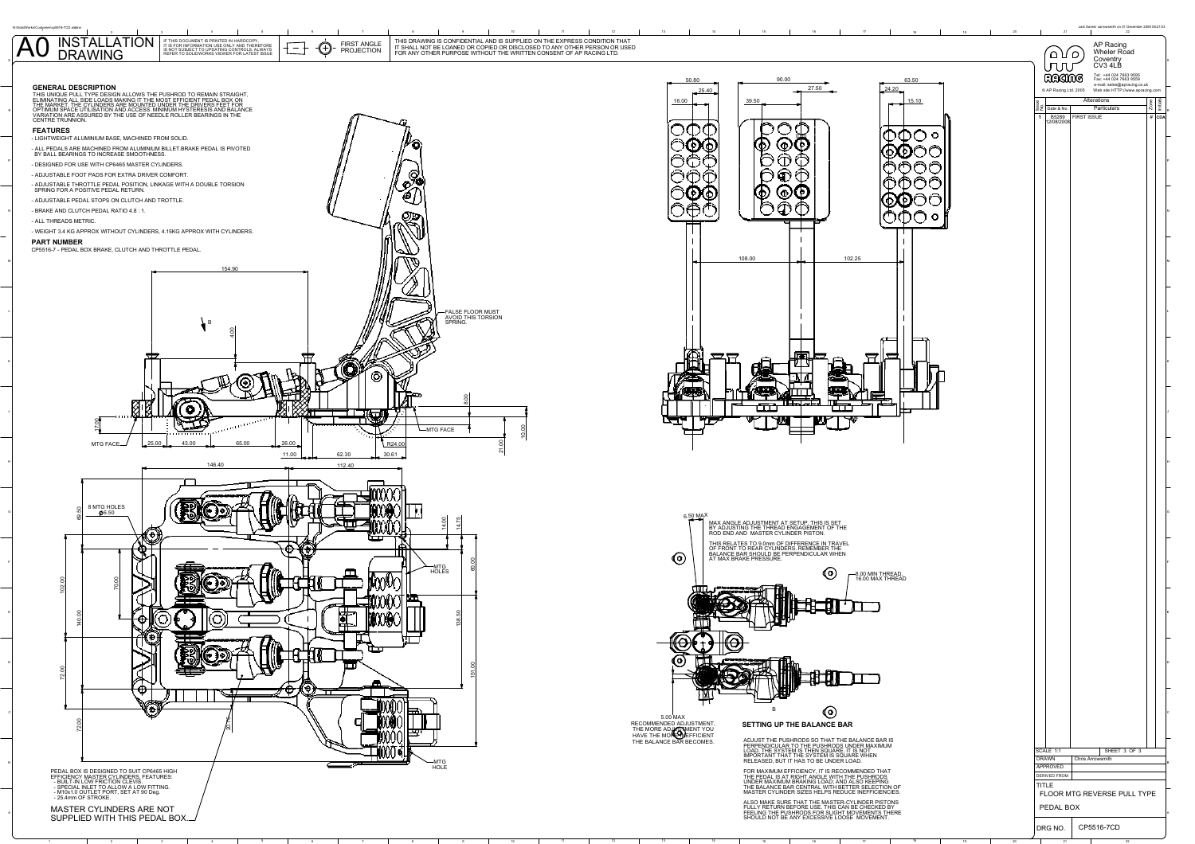

2

<sup>4</sup> <sup>5</sup> <sup>6</sup> <sup>7</sup> <sup>8</sup> <sup>9</sup> <sup>10</sup> <sup>11</sup> <sup>12</sup> <sup>13</sup> <sup>14</sup> <sup>15</sup> <sup>16</sup> <sup>17</sup> <sup>18</sup> <sup>19</sup> <sup>20</sup> <sup>21</sup> <sup>22</sup>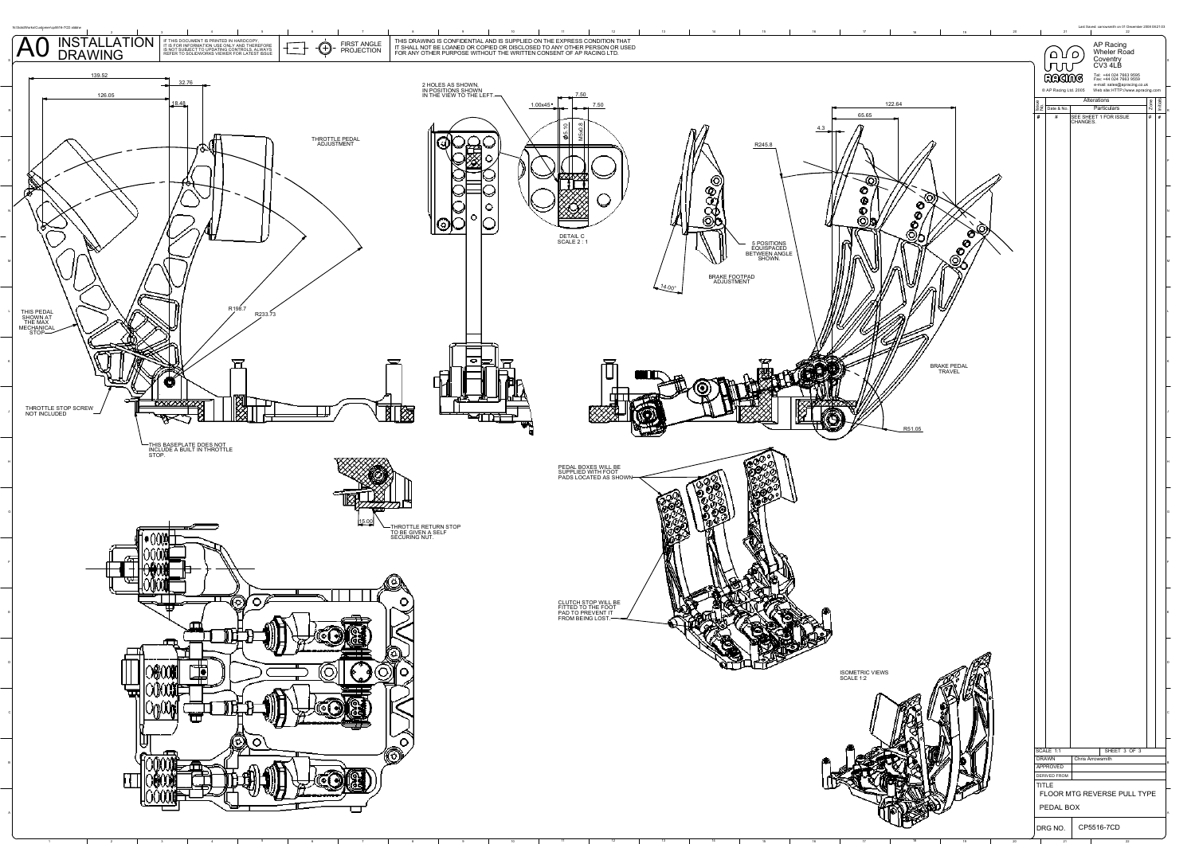